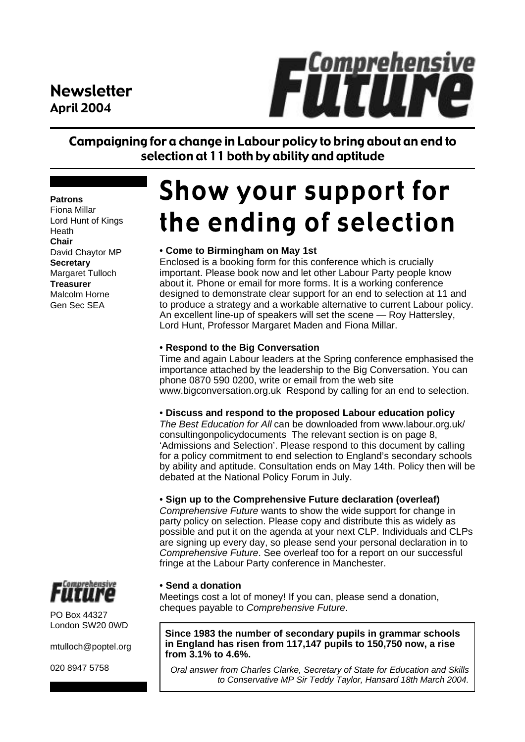### Newsletter April 2004



Campaigning for a change in Labour policy to bring about an end to selection at 11 both by ability and aptitude

#### **Patrons**

Fiona Millar Lord Hunt of Kings Heath **Chair** David Chaytor MP **Secretary** Margaret Tulloch **Treasurer** Malcolm Horne Gen Sec SEA

## **Show your support for** the ending of selection

#### • **Come to Birmingham on May 1st**

Enclosed is a booking form for this conference which is crucially important. Please book now and let other Labour Party people know about it. Phone or email for more forms. It is a working conference designed to demonstrate clear support for an end to selection at 11 and to produce a strategy and a workable alternative to current Labour policy. An excellent line-up of speakers will set the scene — Roy Hattersley, Lord Hunt, Professor Margaret Maden and Fiona Millar.

#### • **Respond to the Big Conversation**

Time and again Labour leaders at the Spring conference emphasised the importance attached by the leadership to the Big Conversation. You can phone 0870 590 0200, write or email from the web site www.bigconversation.org.uk Respond by calling for an end to selection.

#### • **Discuss and respond to the proposed Labour education policy**

*The Best Education for All* can be downloaded from www.labour.org.uk/ consultingonpolicydocuments The relevant section is on page 8, 'Admissions and Selection'. Please respond to this document by calling for a policy commitment to end selection to England's secondary schools by ability and aptitude. Consultation ends on May 14th. Policy then will be debated at the National Policy Forum in July.

#### • **Sign up to the Comprehensive Future declaration (overleaf)**

*Comprehensive Future* wants to show the wide support for change in party policy on selection. Please copy and distribute this as widely as possible and put it on the agenda at your next CLP. Individuals and CLPs are signing up every day, so please send your personal declaration in to *Comprehensive Future*. See overleaf too for a report on our successful fringe at the Labour Party conference in Manchester.

#### • **Send a donation**

Meetings cost a lot of money! If you can, please send a donation, cheques payable to *Comprehensive Future*.

**Since 1983 the number of secondary pupils in grammar schools in England has risen from 117,147 pupils to 150,750 now, a rise from 3.1% to 4.6%.**

*Oral answer from Charles Clarke, Secretary of State for Education and Skills to Conservative MP Sir Teddy Taylor, Hansard 18th March 2004.*



PO Box 44327 London SW20 0WD

mtulloch@poptel.org

020 8947 5758